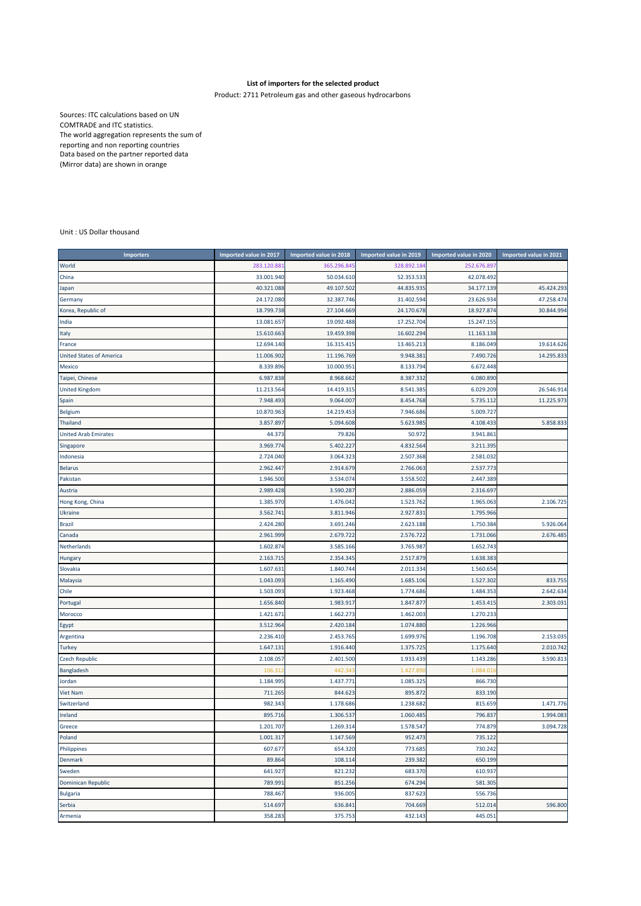## **List of importers for the selected product**

Product: 2711 Petroleum gas and other gaseous hydrocarbons

Sources: ITC calculations based on UN COMTRADE and ITC statistics. The world aggregation represents the sum of reporting and non reporting countries Data based on the partner reported data (Mirror data) are shown in orange

## Unit : US Dollar thousand

| <b>Importers</b>                | Imported value in 2017 | Imported value in 2018 | Imported value in 2019 | Imported value in 2020 | Imported value in 2021 |
|---------------------------------|------------------------|------------------------|------------------------|------------------------|------------------------|
| World                           | 283.120.88             | 365.296.84             | 328.892.18             | 252.676.89             |                        |
| China                           | 33.001.940             | 50.034.610             | 52.353.533             | 42.078.492             |                        |
| Japan                           | 40.321.088             | 49.107.502             | 44.835.935             | 34.177.139             | 45.424.293             |
| Germany                         | 24.172.080             | 32.387.746             | 31.402.594             | 23.626.93              | 47.258.474             |
| Korea, Republic of              | 18.799.738             | 27.104.669             | 24.170.678             | 18.927.87              | 30.844.994             |
| India                           | 13.081.657             | 19.092.488             | 17.252.704             | 15.247.15              |                        |
| Italy                           | 15.610.663             | 19.459.398             | 16.602.294             | 11.163.138             |                        |
| France                          | 12.694.140             | 16.315.415             | 13.465.213             | 8.186.049              | 19.614.626             |
| <b>United States of America</b> | 11.006.902             | 11.196.769             | 9.948.381              | 7.490.72               | 14.295.833             |
| Mexico                          | 8.339.896              | 10.000.951             | 8.133.794              | 6.672.448              |                        |
| Taipei, Chinese                 | 6.987.838              | 8.968.662              | 8.387.332              | 6.080.890              |                        |
| <b>United Kingdom</b>           | 11.213.564             | 14.419.315             | 8.541.385              | 6.029.209              | 26.546.914             |
| Spain                           | 7.948.493              | 9.064.007              | 8.454.768              | 5.735.112              | 11.225.973             |
| Belgium                         | 10.870.963             | 14.219.453             | 7.946.686              | 5.009.727              |                        |
| <b>Thailand</b>                 | 3.857.897              | 5.094.608              | 5.623.985              | 4.108.433              | 5.858.833              |
| <b>United Arab Emirates</b>     | 44.373                 | 79.826                 | 50.972                 | 3.941.86               |                        |
| Singapore                       | 3.969.774              | 5.402.227              | 4.832.564              | 3.211.395              |                        |
| Indonesia                       | 2.724.040              | 3.064.323              | 2.507.368              | 2.581.032              |                        |
| <b>Belarus</b>                  | 2.962.447              | 2.914.679              | 2.766.063              | 2.537.773              |                        |
| Pakistan                        | 1.946.500              | 3.534.074              | 3.558.502              | 2.447.38               |                        |
| Austria                         | 2.989.428              | 3.590.287              | 2.886.059              | 2.316.697              |                        |
| Hong Kong, China                | 1.385.970              | 1.476.042              | 1.523.762              | 1.965.063              | 2.106.725              |
| Ukraine                         | 3.562.74               | 3.811.946              | 2.927.831              | 1.795.96               |                        |
| <b>Brazil</b>                   | 2.424.280              | 3.691.246              | 2.623.188              | 1.750.384              | 5.926.064              |
| Canada                          | 2.961.999              | 2.679.722              | 2.576.722              | 1.731.06               | 2.676.485              |
| Netherlands                     | 1.602.874              | 3.585.166              | 3.765.987              | 1.652.743              |                        |
| Hungary                         | 2.163.715              | 2.354.345              | 2.517.879              | 1.638.383              |                        |
| Slovakia                        | 1.607.63               | 1.840.744              | 2.011.334              | 1.560.654              |                        |
| Malaysia                        | 1.043.093              | 1.165.490              | 1.685.106              | 1.527.302              | 833.755                |
| Chile                           | 1.503.093              | 1.923.468              | 1.774.686              | 1.484.353              | 2.642.634              |
| Portugal                        | 1.656.840              | 1.983.917              | 1.847.877              | 1.453.415              | 2.303.031              |
| Morocco                         | 1.421.67               | 1.662.273              | 1.462.003              | 1.270.23               |                        |
| Egypt                           | 3.512.964              | 2.420.184              | 1.074.880              | 1.226.966              |                        |
| Argentina                       | 2.236.410              | 2.453.765              | 1.699.976              | 1.196.708              | 2.153.035              |
| <b>Turkey</b>                   | 1.647.13               | 1.916.440              | 1.375.725              | 1.175.640              | 2.010.742              |
| <b>Czech Republic</b>           | 2.108.057              | 2.401.500              | 1.933.439              | 1.143.28               | 3.590.813              |
| Bangladesh                      | 106.31                 | 442.343                | 1.427.89               | 1.084.01               |                        |
| Jordan                          | 1.184.995              | 1.437.771              | 1.085.325              | 866.730                |                        |
| <b>Viet Nam</b>                 | 711.265                | 844.623                | 895.872                | 833.190                |                        |
| Switzerland                     | 982.343                | 1.178.686              | 1.238.682              | 815.659                | 1.471.776              |
| Ireland                         | 895.716                | 1.306.537              | 1.060.485              | 796.83                 | 1.994.083              |
| Greece                          | 1.201.707              | 1.269.314              | 1.578.547              | 774.879                | 3.094.728              |
| Poland                          | 1.001.317              | 1.147.569              | 952.473                | 735.122                |                        |
| Philippines                     | 607.677                | 654.320                | 773.685                | 730.242                |                        |
| Denmark                         | 89.864                 | 108.114                | 239.382                | 650.199                |                        |
| Sweden                          | 641.927                | 821.232                | 683.370                | 610.937                |                        |
| <b>Dominican Republic</b>       | 789.99                 | 851.256                | 674.294                | 581.305                |                        |
| <b>Bulgaria</b>                 | 788.467                | 936.005                | 837.623                | 556.736                |                        |
| Serbia                          | 514.697                | 636.841                | 704.669                | 512.014                | 596.800                |
| Armenia                         | 358.283                | 375.753                | 432.143                | 445.051                |                        |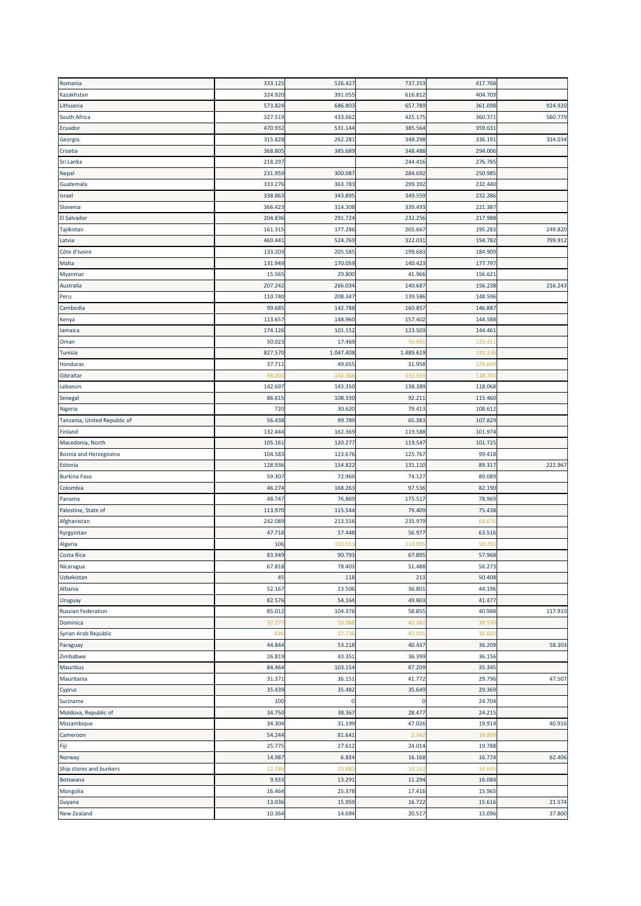| Romania                      | 333.125 | 526.427   | 737.353   | 417.768 |         |
|------------------------------|---------|-----------|-----------|---------|---------|
| Kazakhstan                   | 324.920 | 391.055   | 616.812   | 404.709 |         |
| Lithuania                    | 573.824 | 686.803   | 657.789   | 361.098 | 924.920 |
| South Africa                 | 327.519 | 433.662   | 425.175   | 360.37  | 560.779 |
| Ecuador                      | 470.932 | 531.144   | 385.564   | 359.63  |         |
| Georgia                      | 315.828 | 262.28    | 348.298   | 336.19: | 334.034 |
| Croatia                      | 368.80  | 385.689   | 348.488   | 294.006 |         |
| Sri Lanka                    | 218.297 |           | 244.416   | 276.785 |         |
| <b>Nepal</b>                 | 231.959 | 300.087   | 284.692   | 250.985 |         |
| Guatemala                    | 333.276 | 363.783   | 299.392   | 232.440 |         |
| Israel                       | 338.863 | 343.895   | 349.559   | 232.286 |         |
| Slovenia                     | 366.423 | 314.308   | 339.493   | 221.387 |         |
| <b>El Salvador</b>           | 204.836 | 291.724   | 232.256   | 217.988 |         |
| Tajikistan                   | 161.315 | 177.286   | 205.667   | 195.283 | 249.820 |
| Latvia                       | 469.441 | 524.769   | 322.031   | 194.782 | 799.912 |
| Côte d'Ivoire                | 133.203 | 205.585   | 199.683   | 184.909 |         |
|                              | 131.949 | 170.059   | 140.423   | 177.797 |         |
| Malta                        |         |           |           |         |         |
| Myanmar                      | 15.56   | 29.800    | 41.966    | 156.62  |         |
| Australia                    | 207.242 | 266.034   | 140.687   | 156.238 | 216.243 |
| Peru                         | 110.740 | 208.347   | 139.586   | 148.596 |         |
| Cambodia                     | 99.68   | 142.788   | 160.857   | 146.887 |         |
| Kenya                        | 113.657 | 148.960   | 157.402   | 144.588 |         |
| Jamaica                      | 174.126 | 101.152   | 123.503   | 144.461 |         |
| Oman                         | 50.023  | 17.469    | 50.98     | 133.411 |         |
| Tunisia                      | 827.570 | 1.047.408 | 1.489.619 | 131.13  |         |
| <b>Honduras</b>              | 37.71:  | 49.655    | 31.958    | 129.66  |         |
| Gibraltar                    | 98.20   | 142.36    | 131.53    | 118.75  |         |
| Lebanon                      | 142.697 | 143.350   | 138.389   | 118.068 |         |
| Senegal                      | 86.61   | 108.330   | 92.211    | 115.460 |         |
| Nigeria                      | 720     | 30.620    | 79.413    | 108.612 |         |
| Tanzania, United Republic of | 56.438  | 99.789    | 65.383    | 107.829 |         |
| Finland                      | 132.444 | 162.369   | 119.588   | 101.974 |         |
| Macedonia, North             | 105.16: | 120.27    | 119.547   | 101.72  |         |
| Bosnia and Herzegovina       | 104.583 | 123.676   | 125.767   | 99.418  |         |
| Estonia                      | 128.936 | 154.822   | 131.110   | 89.317  | 222.967 |
| <b>Burkina Faso</b>          | 59.307  | 72.969    | 74.127    | 89.089  |         |
| Colombia                     | 46.274  | 168.263   | 97.536    | 82.190  |         |
| Panama                       | 48.747  | 76.869    | 175.517   | 78.969  |         |
| Palestine, State of          | 113.970 | 115.544   | 79.409    | 75.438  |         |
| Afghanistan                  | 242.089 | 213.556   | 235.979   | 64.676  |         |
| Kyrgyzstan                   | 47.718  | 57.448    | 56.977    | 63.516  |         |
| Algeria                      | 106     | 150.55    | 114.09    | 59.79   |         |
| Costa Rica                   | 83.949  | 90.793    | 67.895    | 57.968  |         |
| Nicaragua                    | 67.818  | 78.403    | 51.488    | 56.273  |         |
| Uzbekistan                   | 45      | 118       | 213       | 50.408  |         |
| Albania                      | 52.167  | 13.506    | 36.801    | 44.196  |         |
| Uruguay                      | 82.576  | 54.164    | 49.603    | 41.477  |         |
| <b>Russian Federation</b>    | 85.012  | 104.376   | 58.855    | 40.988  | 117.910 |
| Dominica                     | 37.27   | 16.06     | 42.242    | 39.57   |         |
| Syrian Arab Republic         | 646     | 27.73     | 47.091    | 36.60   |         |
| Paraguay                     | 44.844  | 53.218    | 40.437    | 36.209  | 58.303  |
| Zimbabwe                     | 26.819  | 43.351    | 36.399    | 36.156  |         |
|                              |         |           |           |         |         |
| Mauritius                    | 84.464  | 103.154   | 87.209    | 35.345  |         |
| Mauritania                   | 31.371  | 36.151    | 41.772    | 29.796  | 47.507  |
| Cyprus                       | 35.439  | 35.482    | 35.649    | 29.369  |         |
| Suriname                     | 100     | 0         | 0         | 24.704  |         |
| Moldova, Republic of         | 34.750  | 38.367    | 28.477    | 24.215  |         |
| Mozambique                   | 34.304  | 31.199    | 47.026    | 19.914  | 40.916  |
| Cameroon                     | 54.244  | 81.641    | 2.342     | 19.80   |         |
| Fiji                         | 25.775  | 27.612    | 24.014    | 19.788  |         |
| Norway                       | 14.987  | 6.834     | 16.168    | 16.774  | 62.406  |
| Ship stores and bunkers      | 12.78   | 22.88     | 14.152    | 16.63   |         |
| Botswana                     | 9.933   | 13.291    | 11.294    | 16.084  |         |
| Mongolia                     | 16.464  | 25.378    | 17.416    | 15.965  |         |
| Guyana                       | 13.036  | 15.959    | 16.722    | 15.616  | 21.574  |
| <b>New Zealand</b>           | 10.364  | 14.694    | 20.517    | 15.096  | 37.800  |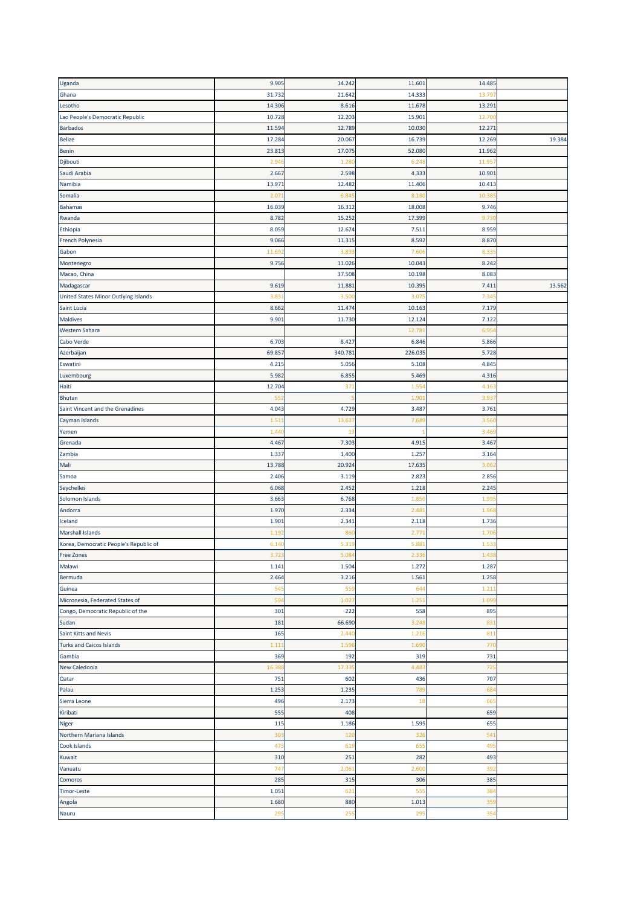| Uganda                                 | 9.905          | 14.242          | 11.601  | 14.485        |        |
|----------------------------------------|----------------|-----------------|---------|---------------|--------|
| Ghana                                  | 31.732         | 21.642          | 14.333  | 13.79         |        |
| Lesotho                                | 14.306         | 8.616           | 11.678  | 13.291        |        |
| Lao People's Democratic Republic       | 10.728         | 12.203          | 15.901  | 12.70         |        |
| <b>Barbados</b>                        | 11.594         | 12.789          | 10.030  | 12.271        |        |
| <b>Belize</b>                          | 17.284         | 20.067          | 16.739  | 12.269        | 19.384 |
| Benin                                  | 23.81          | 17.075          | 52.080  | 11.962        |        |
| Djibouti                               | 2.94           | 1.28            | 6.248   | 11.95         |        |
| Saudi Arabia                           | 2.667          | 2.598           | 4.333   | 10.901        |        |
| Namibia                                | 13.97          | 12.482          | 11.406  | 10.413        |        |
| Somalia                                | 2.07           | 6.84            | 8.18    | 10.38         |        |
| <b>Bahamas</b>                         | 16.039         | 16.312          | 18.008  | 9.746         |        |
| Rwanda                                 | 8.782          | 15.252          | 17.399  | 9.73          |        |
| Ethiopia                               | 8.059          | 12.674          | 7.511   | 8.959         |        |
| French Polynesia                       | 9.066          | 11.315          | 8.592   | 8.870         |        |
|                                        |                |                 | 7.606   |               |        |
| Gabon                                  | 11.69<br>9.756 | 3.89<br>11.026  | 10.043  | 8.33<br>8.242 |        |
| Montenegro                             |                |                 |         |               |        |
| Macao, China                           |                | 37.508          | 10.198  | 8.083         |        |
| Madagascar                             | 9.619          | 11.881          | 10.395  | 7.41          | 13.562 |
| United States Minor Outlying Islands   | 3.83           | 3.50            | 3.075   | 7.34          |        |
| Saint Lucia                            | 8.662          | 11.474          | 10.163  | 7.179         |        |
| Maldives                               | 9.901          | 11.730          | 12.124  | 7.122         |        |
| <b>Western Sahara</b>                  |                |                 | 12.781  | 6.95          |        |
| Cabo Verde                             | 6.703          | 8.427           | 6.846   | 5.866         |        |
| Azerbaijan                             | 69.857         | 340.781         | 226.035 | 5.728         |        |
| Eswatini                               | 4.215          | 5.056           | 5.108   | 4.845         |        |
| Luxembourg                             | 5.982          | 6.855           | 5.469   | 4.316         |        |
| Haiti                                  | 12.704         | 37 <sub>2</sub> | 1.55    | 4.163         |        |
| <b>Bhutan</b>                          | 55             |                 | 1.90    | 3.93          |        |
| Saint Vincent and the Grenadines       | 4.043          | 4.729           | 3.487   | 3.761         |        |
| Cayman Islands                         | 1.51           | 13.62           | 7.68    | 3.56          |        |
| Yemen                                  | 1.44           | 13              |         | 3.46          |        |
| Grenada                                | 4.467          | 7.303           | 4.91    | 3.467         |        |
| Zambia                                 | 1.337          | 1.400           | 1.257   | 3.164         |        |
| Mali                                   | 13.788         | 20.924          | 17.635  | 3.06          |        |
| Samoa                                  | 2.406          | 3.119           | 2.823   | 2.856         |        |
| Seychelles                             | 6.068          | 2.452           | 1.218   | 2.245         |        |
| Solomon Islands                        | 3.663          | 6.768           | 1.850   | 1.99          |        |
| Andorra                                | 1.970          | 2.334           | 2.481   | 1.968         |        |
| Iceland                                | 1.901          | 2.341           | 2.118   | 1.736         |        |
| Marshall Islands                       | 1.19           | 86              | 2.77    | 1.70          |        |
| Korea, Democratic People's Republic of | 6.14           | 5.319           | 5.88    | 1.53          |        |
| Free Zones                             | 3.723          | 5.084           | 2.336   | 1.438         |        |
| Malawi                                 | 1.141          | 1.504           | 1.272   | 1.287         |        |
| Bermuda                                | 2.464          | 3.216           | 1.561   | 1.258         |        |
| Guinea                                 | 545            | 559             | 644     | 1.21          |        |
| Micronesia, Federated States of        | 594            | 1.027           | 1.251   | 1.099         |        |
| Congo, Democratic Republic of the      | 301            | 222             | 558     | 895           |        |
| Sudan                                  | 181            | 66.690          | 3.248   | 831           |        |
| Saint Kitts and Nevis                  | 165            | 2.440           | 1.216   | 811           |        |
| <b>Turks and Caicos Islands</b>        | 1.11           | 1.59            | 1.690   | 770           |        |
| Gambia                                 | 369            | 192             |         |               |        |
|                                        |                |                 | 319     | 731           |        |
| <b>New Caledonia</b>                   | 16.38          | 17.33           | 4.483   | 725           |        |
| Qatar                                  | 751            | 602             | 436     | 707           |        |
| Palau                                  | 1.253          | 1.235           | 789     | 684           |        |
| Sierra Leone                           | 496            | 2.173           | 18      | 665           |        |
| Kiribati                               | 555            | 408             |         | 659           |        |
| Niger                                  | 115            | 1.186           | 1.595   | 655           |        |
| Northern Mariana Islands               | 303            | 120             | 326     | 541           |        |
| Cook Islands                           | 473            | 619             | 655     | 495           |        |
| Kuwait                                 | 310            | 251             | 282     | 493           |        |
| Vanuatu                                | 747            | 2.061           | 2.600   | 392           |        |
| Comoros                                | 285            | 315             | 306     | 385           |        |
| Timor-Leste                            | 1.051          | 621             | 555     | 384           |        |
| Angola                                 | 1.680          | 880             | 1.013   | 359           |        |
| Nauru                                  | 295            | 255             | 295     | 354           |        |